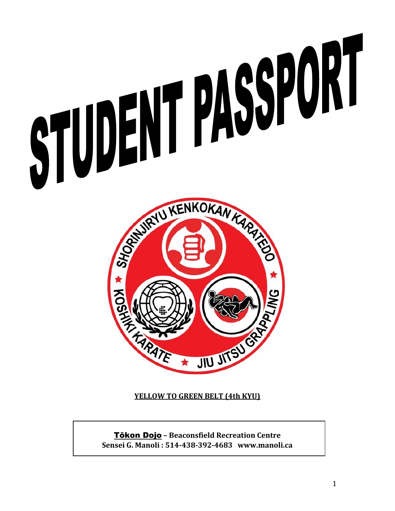



**YELLOW TO GREEN BELT (4th KYU)**

Tōkon Dojo **– Beaconsfield Recreation Centre Sensei G. Manoli : 514-438-392-4683 www.manoli.ca**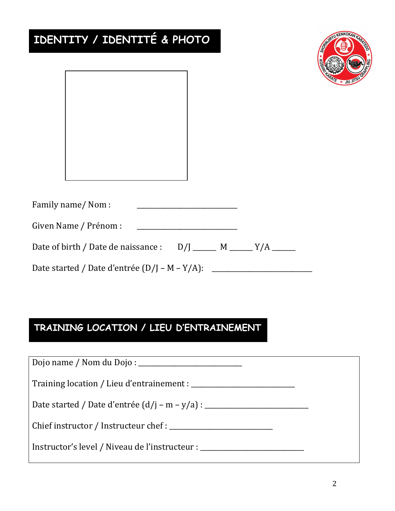| IDENTITY / IDENTITÉ & PHOTO               |  |  |  |  |  |  |
|-------------------------------------------|--|--|--|--|--|--|
|                                           |  |  |  |  |  |  |
| Family name/Nom:<br>Given Name / Prénom : |  |  |  |  |  |  |
|                                           |  |  |  |  |  |  |

## **TRAINING LOCATION / LIEU D'ENTRAINEMENT**

| Chief instructor / Instructeur chef :                                            |  |
|----------------------------------------------------------------------------------|--|
| Instructor's level / Niveau de l'instructeur : _________________________________ |  |

IRYU KENKOKAN KA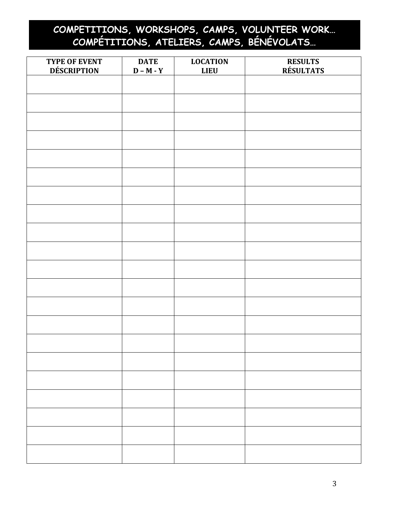## **COMPETITIONS, WORKSHOPS, CAMPS, VOLUNTEER WORK… COMPÉTITIONS, ATELIERS, CAMPS, BÉNÉVOLATS…**

| TYPE OF EVENT<br><b>DÉSCRIPTION</b> | <b>DATE</b><br>$D - M - Y$ | <b>LOCATION</b><br><b>LIEU</b> | <b>RESULTS</b><br><b>RÉSULTATS</b> |
|-------------------------------------|----------------------------|--------------------------------|------------------------------------|
|                                     |                            |                                |                                    |
|                                     |                            |                                |                                    |
|                                     |                            |                                |                                    |
|                                     |                            |                                |                                    |
|                                     |                            |                                |                                    |
|                                     |                            |                                |                                    |
|                                     |                            |                                |                                    |
|                                     |                            |                                |                                    |
|                                     |                            |                                |                                    |
|                                     |                            |                                |                                    |
|                                     |                            |                                |                                    |
|                                     |                            |                                |                                    |
|                                     |                            |                                |                                    |
|                                     |                            |                                |                                    |
|                                     |                            |                                |                                    |
|                                     |                            |                                |                                    |
|                                     |                            |                                |                                    |
|                                     |                            |                                |                                    |
|                                     |                            |                                |                                    |
|                                     |                            |                                |                                    |
|                                     |                            |                                |                                    |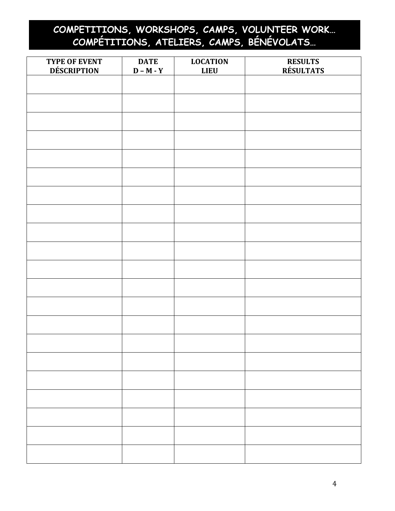## **COMPETITIONS, WORKSHOPS, CAMPS, VOLUNTEER WORK… COMPÉTITIONS, ATELIERS, CAMPS, BÉNÉVOLATS…**

| TYPE OF EVENT<br><b>DÉSCRIPTION</b> | <b>DATE</b><br>$D - M - Y$ | <b>LOCATION</b><br><b>LIEU</b> | <b>RESULTS</b><br><b>RÉSULTATS</b> |
|-------------------------------------|----------------------------|--------------------------------|------------------------------------|
|                                     |                            |                                |                                    |
|                                     |                            |                                |                                    |
|                                     |                            |                                |                                    |
|                                     |                            |                                |                                    |
|                                     |                            |                                |                                    |
|                                     |                            |                                |                                    |
|                                     |                            |                                |                                    |
|                                     |                            |                                |                                    |
|                                     |                            |                                |                                    |
|                                     |                            |                                |                                    |
|                                     |                            |                                |                                    |
|                                     |                            |                                |                                    |
|                                     |                            |                                |                                    |
|                                     |                            |                                |                                    |
|                                     |                            |                                |                                    |
|                                     |                            |                                |                                    |
|                                     |                            |                                |                                    |
|                                     |                            |                                |                                    |
|                                     |                            |                                |                                    |
|                                     |                            |                                |                                    |
|                                     |                            |                                |                                    |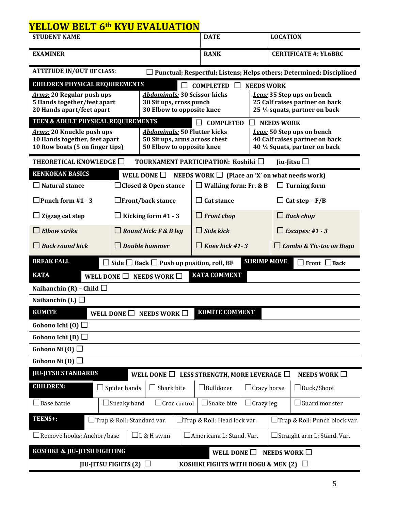## **YELLOW BELT 6th KYU EVALUATION**

| <b>STUDENT NAME</b>                                                                                                     |                     |                                                           |  | <b>LOCATION</b><br><b>DATE</b>                      |                    |                              |                                |
|-------------------------------------------------------------------------------------------------------------------------|---------------------|-----------------------------------------------------------|--|-----------------------------------------------------|--------------------|------------------------------|--------------------------------|
| <b>EXAMINER</b>                                                                                                         |                     |                                                           |  | <b>RANK</b>                                         |                    | <b>CERTIFICATE #: YL6BRC</b> |                                |
| <b>ATTITUDE IN/OUT OF CLASS:</b><br>$\Box$ Punctual; Respectful; Listens; Helps others; Determined; Disciplined         |                     |                                                           |  |                                                     |                    |                              |                                |
| <b>CHILDREN PHYSICAL REQUIREMENTS</b>                                                                                   |                     |                                                           |  | <b>COMPLETED</b>                                    | <b>NEEDS WORK</b>  |                              |                                |
| <b>Arms: 20 Regular push ups</b>                                                                                        |                     | <b>Abdominals: 30 Scissor kicks</b>                       |  |                                                     |                    |                              | Legs: 35 Step ups on bench     |
| 5 Hands together/feet apart                                                                                             |                     | 30 Sit ups, cross punch                                   |  |                                                     |                    |                              | 25 Calf raises partner on back |
| 20 Hands apart/feet apart                                                                                               |                     | 30 Elbow to opposite knee                                 |  |                                                     |                    |                              | 25 1/4 squats, partner on back |
| TEEN & ADULT PHYSICAL REQUIREMENTS                                                                                      |                     |                                                           |  | <b>COMPLETED</b><br>ΙI                              | $\blacksquare$     | <b>NEEDS WORK</b>            |                                |
| Arms: 20 Knuckle push ups                                                                                               |                     | <b>Abdominals: 50 Flutter kicks</b>                       |  |                                                     |                    |                              | Legs: 50 Step ups on bench     |
| 10 Hands together, feet apart                                                                                           |                     | 50 Sit ups, arms across chest                             |  |                                                     |                    |                              | 40 Calf raises partner on back |
| 10 Row boats (5 on finger tips)                                                                                         |                     | 50 Elbow to opposite knee                                 |  |                                                     |                    |                              | 40 1/4 Squats, partner on back |
| THEORETICAL KNOWLEDGE $\Box$                                                                                            |                     |                                                           |  | TOURNAMENT PARTICIPATION: Koshiki $\Box$            |                    |                              | Jiu-Jitsu $\Box$               |
| <b>KENKOKAN BASICS</b>                                                                                                  |                     | WELL DONE $\Box$                                          |  | NEEDS WORK $\Box$ (Place an 'X' on what needs work) |                    |                              |                                |
| $\Box$ Natural stance                                                                                                   |                     | □ Closed & Open stance                                    |  | $\Box$ Walking form: Fr. & B                        |                    |                              | $\Box$ Turning form            |
| $\Box$ Punch form #1 - 3                                                                                                |                     | $\Box$ Front/back stance                                  |  | $\Box$ Cat stance                                   |                    |                              | $\Box$ Cat step – F/B          |
| $\Box$ Zigzag cat step                                                                                                  |                     | $\Box$ Kicking form #1 - 3                                |  | $\Box$ Front chop<br>$\Box$ Back chop               |                    |                              |                                |
| $\Box$ Elbow strike                                                                                                     |                     | $\Box$ Round kick: F & B leg                              |  | $\Box$ Side kick<br>$\Box$ Escapes: #1 - 3          |                    |                              |                                |
| $\Box$ Back round kick                                                                                                  |                     | $\Box$ Double hammer                                      |  | $\Box$ Knee kick #1 - 3                             |                    |                              | $\Box$ Combo & Tic-toc on Bogu |
| <b>BREAK FALL</b>                                                                                                       |                     | $\Box$ Side $\Box$ Back $\Box$ Push up position, roll, BF |  |                                                     | <b>SHRIMP MOVE</b> |                              | $\Box$ Front $\Box$ Back       |
| <b>KATA COMMENT</b><br><b>KATA</b><br>WELL DONE $\Box$<br><b>NEEDS WORK</b>                                             |                     |                                                           |  |                                                     |                    |                              |                                |
| Naihanchin (R) – Child $\Box$                                                                                           |                     |                                                           |  |                                                     |                    |                              |                                |
| Naihanchin (L) $\Box$                                                                                                   |                     |                                                           |  |                                                     |                    |                              |                                |
| <b>KUMITE</b><br><b>KUMITE COMMENT</b><br>WELL DONE $\Box$<br>NEEDS WORK $\Box$                                         |                     |                                                           |  |                                                     |                    |                              |                                |
| Gohono Ichi (0) $\Box$                                                                                                  |                     |                                                           |  |                                                     |                    |                              |                                |
| Gohono Ichi (D) $\square$                                                                                               |                     |                                                           |  |                                                     |                    |                              |                                |
| Gohono Ni $(0)$                                                                                                         |                     |                                                           |  |                                                     |                    |                              |                                |
| Gohono Ni (D) $\Box$                                                                                                    |                     |                                                           |  |                                                     |                    |                              |                                |
| <b>JIU-JITSU STANDARDS</b><br>WELL DONE $\Box$ LESS STRENGTH, MORE LEVERAGE $\Box$<br>NEEDS WORK $\square$              |                     |                                                           |  |                                                     |                    |                              |                                |
| <b>CHILDREN:</b>                                                                                                        | $\Box$ Spider hands | Shark bite                                                |  | $\Box$ Bulldozer                                    | $\sqcup$           | Crazy horse                  | $\Box$ Duck/Shoot              |
| $\Box$ Base battle                                                                                                      | $\Box$ Sneaky hand  | $\Box$ Croc control                                       |  | $\Box$ Snake bite                                   | $\Box$ Crazy leg   |                              | $\exists$ Guard monster        |
| TEENS+:<br>Trap & Roll: Standard var.<br>$\Box$ Trap & Roll: Head lock var.<br>$\Box$ Trap & Roll: Punch block var.     |                     |                                                           |  |                                                     |                    |                              |                                |
| Remove hooks; Anchor/base<br>$\Box$ L & H swim<br>$\Box$ Americana L: Stand. Var.<br>$\Box$ Straight arm L: Stand. Var. |                     |                                                           |  |                                                     |                    |                              |                                |
| KOSHIKI & JIU-JITSU FIGHTING<br>WELL DONE $\Box$<br>NEEDS WORK $\square$                                                |                     |                                                           |  |                                                     |                    |                              |                                |
| JIU-JITSU FIGHTS (2) $\Box$<br>KOSHIKI FIGHTS WITH BOGU & MEN $(2)$                                                     |                     |                                                           |  |                                                     |                    |                              |                                |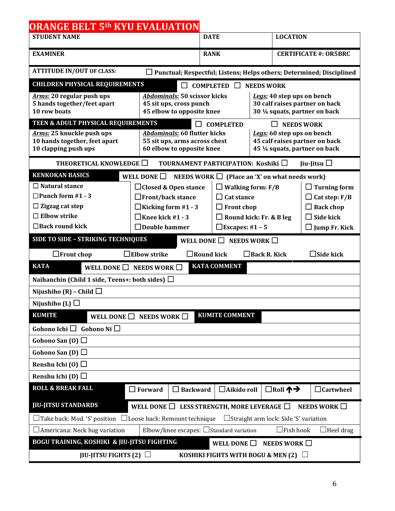| <b>ORANGE BELT 5th KYU EVALUATION</b>                                                                                         |                                                                          |                                                     |                                |                                                                             |  |  |  |
|-------------------------------------------------------------------------------------------------------------------------------|--------------------------------------------------------------------------|-----------------------------------------------------|--------------------------------|-----------------------------------------------------------------------------|--|--|--|
| <b>STUDENT NAME</b>                                                                                                           | <b>DATE</b>                                                              |                                                     | <b>LOCATION</b>                |                                                                             |  |  |  |
| <b>EXAMINER</b>                                                                                                               |                                                                          | <b>RANK</b>                                         |                                | <b>CERTIFICATE #: OR5BRC</b>                                                |  |  |  |
| <b>ATTITUDE IN/OUT OF CLASS:</b>                                                                                              |                                                                          |                                                     |                                | $\Box$ Punctual; Respectful; Listens; Helps others; Determined; Disciplined |  |  |  |
| <b>CHILDREN PHYSICAL REQUIREMENTS</b>                                                                                         |                                                                          | $\Box$ COMPLETED<br>$\Box$                          | <b>NEEDS WORK</b>              |                                                                             |  |  |  |
| Arms: 20 regular push ups                                                                                                     | <b>Abdominals: 50 scissor kicks</b>                                      |                                                     | Legs: 40 step ups on bench     |                                                                             |  |  |  |
| 5 hands together/feet apart                                                                                                   | 45 sit ups, cross punch                                                  |                                                     | 30 calf raises partner on back |                                                                             |  |  |  |
| 10 row boats                                                                                                                  | 45 elbow to opposite knee                                                |                                                     | 30 1/4 squats, partner on back |                                                                             |  |  |  |
| TEEN & ADULT PHYSICAL REQUIREMENTS                                                                                            |                                                                          | <b>COMPLETED</b>                                    |                                | <b>NEEDS WORK</b>                                                           |  |  |  |
| Arms: 25 knuckle push ups<br>10 hands together, feet apart                                                                    | <b>Abdominals: 60 flutter kicks</b><br>55 sit ups, arms across chest     |                                                     |                                | Legs: 60 step ups on bench<br>45 calf raises partner on back                |  |  |  |
| 10 clapping push ups                                                                                                          | 60 elbow to opposite knee                                                |                                                     |                                | 45 1/4 squats, partner on back                                              |  |  |  |
| THEORETICAL KNOWLEDGE $\Box$                                                                                                  |                                                                          | TOURNAMENT PARTICIPATION: Koshiki $\Box$            |                                | Jiu-Jitsu $\Box$                                                            |  |  |  |
| <b>KENKOKAN BASICS</b>                                                                                                        | WELL DONE $\Box$                                                         | NEEDS WORK $\Box$ (Place an 'X' on what needs work) |                                |                                                                             |  |  |  |
| $\Box$ Natural stance                                                                                                         | $\Box$ Closed & Open stance                                              |                                                     | <b>Walking form: F/B</b>       | $\Box$ Turning form                                                         |  |  |  |
| $\Box$ Punch form #1 - 3                                                                                                      | $\Box$ Front/back stance                                                 | $\Box$ Cat stance                                   |                                | Cat step: $F/B$                                                             |  |  |  |
| $\Box$ Zigzag cat step                                                                                                        |                                                                          | $\Box$ Kicking form #1 - 3<br>$\Box$ Front chop     |                                |                                                                             |  |  |  |
| $\Box$ Elbow strike                                                                                                           | $\Box$ Knee kick #1 - 3                                                  |                                                     | $\Box$ Round kick: Fr. & B leg | $\Box$ Side kick                                                            |  |  |  |
| $\Box$ Back round kick                                                                                                        | $\Box$ Double hammer<br>$\Box$ Escapes: #1 - 5                           |                                                     |                                | $\square$ Jump Fr. Kick                                                     |  |  |  |
|                                                                                                                               | SIDE TO SIDE - STRIKING TECHNIQUES<br>WELL DONE $\Box$ NEEDS WORK $\Box$ |                                                     |                                |                                                                             |  |  |  |
| $\Box$ Front chop                                                                                                             | $\sf{I}$ Elbow strike                                                    | $\Box$ Round kick                                   | $\Box$ Back R. Kick            | $\Box$ Side kick                                                            |  |  |  |
| <b>KATA</b><br><b>KATA COMMENT</b><br>WELL DONE $\Box$<br>NEEDS WORK $\square$                                                |                                                                          |                                                     |                                |                                                                             |  |  |  |
| Naihanchin (Child 1 side, Teens+: both sides) $\Box$                                                                          |                                                                          |                                                     |                                |                                                                             |  |  |  |
| Nijushiho (R) – Child $\Box$                                                                                                  |                                                                          |                                                     |                                |                                                                             |  |  |  |
| Nijushiho (L) $\Box$                                                                                                          |                                                                          |                                                     |                                |                                                                             |  |  |  |
| <b>KUMITE</b>                                                                                                                 | WELL DONE $\Box$ NEEDS WORK $\Box$                                       | <b>KUMITE COMMENT</b>                               |                                |                                                                             |  |  |  |
| Gohono Ichi $\Box$ Gohono Ni $\Box$                                                                                           |                                                                          |                                                     |                                |                                                                             |  |  |  |
| Gohono San (0) $\Box$                                                                                                         |                                                                          |                                                     |                                |                                                                             |  |  |  |
| Gohono San (D) $\Box$                                                                                                         |                                                                          |                                                     |                                |                                                                             |  |  |  |
| Renshu Ichi (0) $\Box$                                                                                                        |                                                                          |                                                     |                                |                                                                             |  |  |  |
| Renshu Ichi (D) $\Box$                                                                                                        |                                                                          |                                                     |                                |                                                                             |  |  |  |
| <b>ROLL &amp; BREAK FALL</b>                                                                                                  | $\Box$ Forward<br>$\Box$ Backward                                        | $\Box$ Aikido roll                                  | □Roll 个→                       | $\Box$ Cartwheel                                                            |  |  |  |
| <b>JIU-JITSU STANDARDS</b>                                                                                                    | WELL DONE $\Box$ LESS STRENGTH, MORE LEVERAGE $\Box$                     |                                                     |                                | NEEDS WORK $\square$                                                        |  |  |  |
| □Take back: Mod. 'S' position □ Loose back: Remount technique<br>$\Box$ Straight arm lock: Side 'S' variation                 |                                                                          |                                                     |                                |                                                                             |  |  |  |
| Elbow/knee escapes: $\Box$ Standard variation<br>$\Box$ Fish hook<br>$\Box$ Heel drag<br>$\Box$ Americana: Neck hug variation |                                                                          |                                                     |                                |                                                                             |  |  |  |
| <b>BOGU TRAINING, KOSHIKI &amp; JIU-JITSU FIGHTING</b><br>WELL DONE $\Box$<br>NEEDS WORK $\square$                            |                                                                          |                                                     |                                |                                                                             |  |  |  |
| JIU-JITSU FIGHTS (2) $\Box$<br>KOSHIKI FIGHTS WITH BOGU & MEN (2) $\Box$                                                      |                                                                          |                                                     |                                |                                                                             |  |  |  |